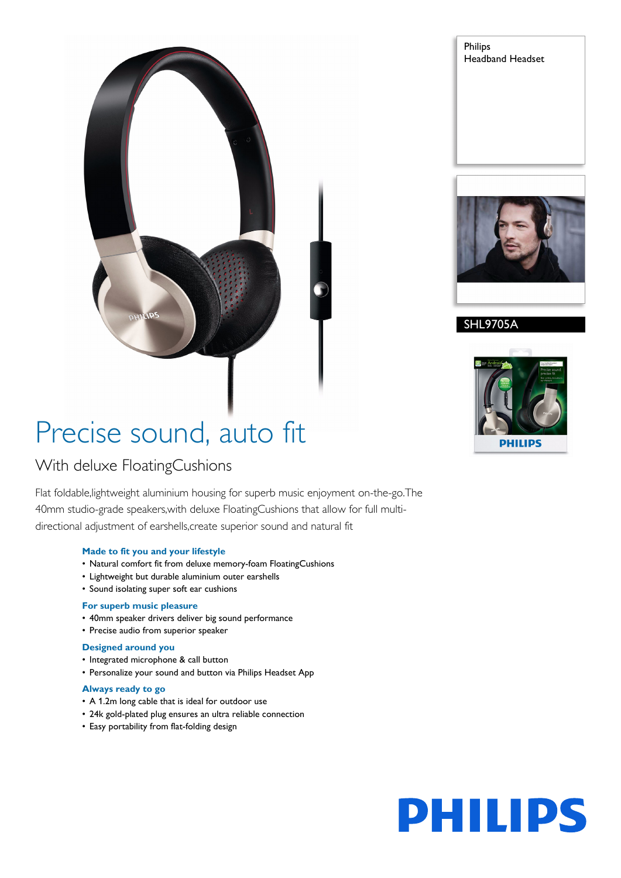# Precise sound, auto fit

# With deluxe FloatingCushions

Flat foldable,lightweight aluminium housing for superb music enjoyment on-the-go.The 40mm studio-grade speakers,with deluxe FloatingCushions that allow for full multidirectional adjustment of earshells,create superior sound and natural fit

### **Made to fit you and your lifestyle**

- Natural comfort fit from deluxe memory-foam FloatingCushions
- Lightweight but durable aluminium outer earshells
- Sound isolating super soft ear cushions

#### **For superb music pleasure**

- 40mm speaker drivers deliver big sound performance
- Precise audio from superior speaker

#### **Designed around you**

- Integrated microphone & call button
- Personalize your sound and button via Philips Headset App

#### **Always ready to go**

- A 1.2m long cable that is ideal for outdoor use
- 24k gold-plated plug ensures an ultra reliable connection
- Easy portability from flat-folding design

Philips Headband Headset



## SHL9705A



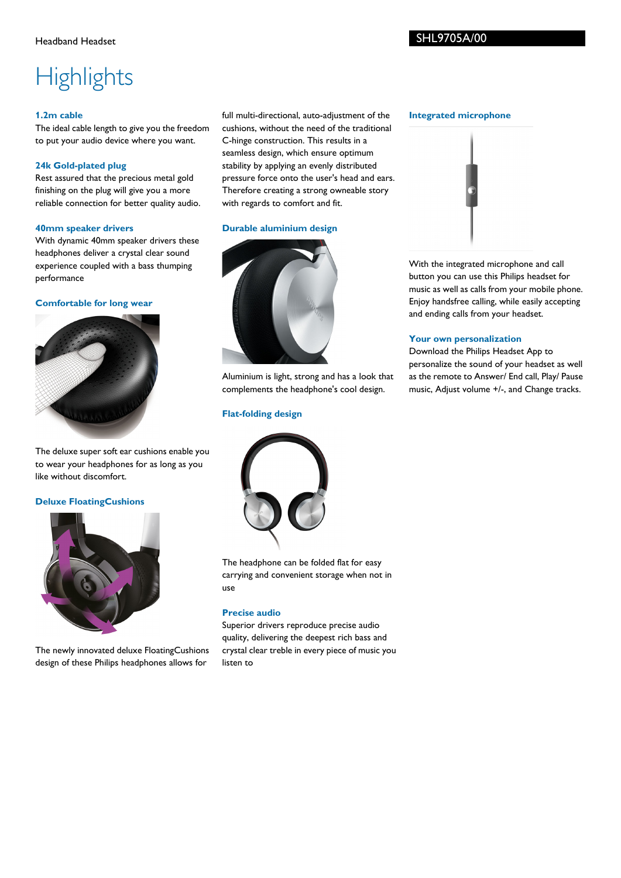### SHL9705A/00

# **Highlights**

#### **1.2m cable**

The ideal cable length to give you the freedom to put your audio device where you want.

#### **24k Gold-plated plug**

Rest assured that the precious metal gold finishing on the plug will give you a more reliable connection for better quality audio.

#### **40mm speaker drivers**

With dynamic 40mm speaker drivers these headphones deliver a crystal clear sound experience coupled with a bass thumping performance

#### **Comfortable for long wear**



The deluxe super soft ear cushions enable you to wear your headphones for as long as you like without discomfort.

#### **Deluxe FloatingCushions**



The newly innovated deluxe FloatingCushions design of these Philips headphones allows for

full multi-directional, auto-adjustment of the cushions, without the need of the traditional C-hinge construction. This results in a seamless design, which ensure optimum stability by applying an evenly distributed pressure force onto the user's head and ears. Therefore creating a strong owneable story with regards to comfort and fit.

#### **Durable aluminium design**



Aluminium is light, strong and has a look that complements the headphone's cool design.

#### **Flat-folding design**



The headphone can be folded flat for easy carrying and convenient storage when not in use

#### **Precise audio**

Superior drivers reproduce precise audio quality, delivering the deepest rich bass and crystal clear treble in every piece of music you listen to

#### **Integrated microphone**



With the integrated microphone and call button you can use this Philips headset for music as well as calls from your mobile phone. Enjoy handsfree calling, while easily accepting and ending calls from your headset.

#### **Your own personalization**

Download the Philips Headset App to personalize the sound of your headset as well as the remote to Answer/ End call, Play/ Pause music, Adjust volume +/-, and Change tracks.